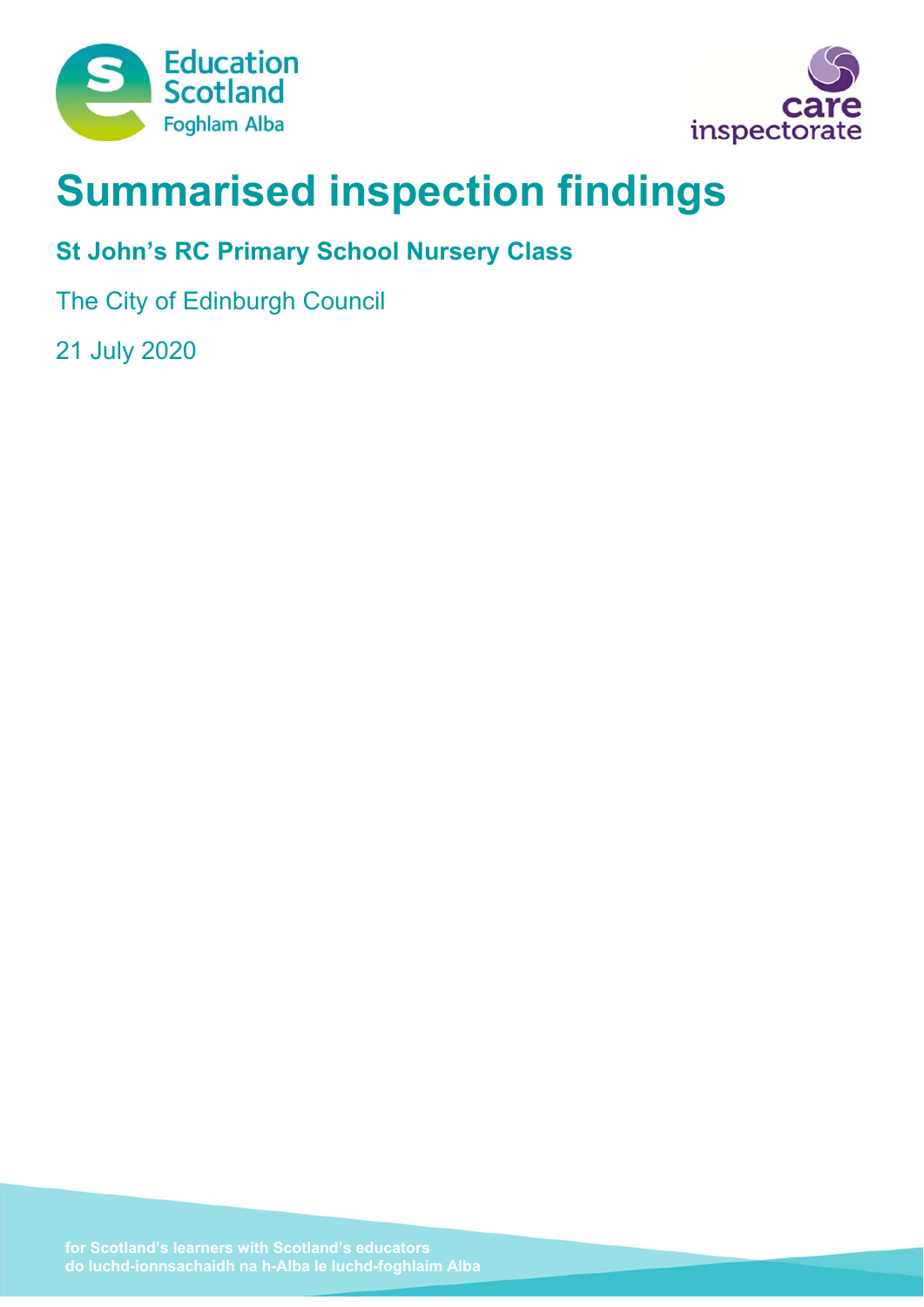



# **Summarised inspection findings**

# **St John's RC Primary School Nursery Class**

The City of Edinburgh Council

21 July 2020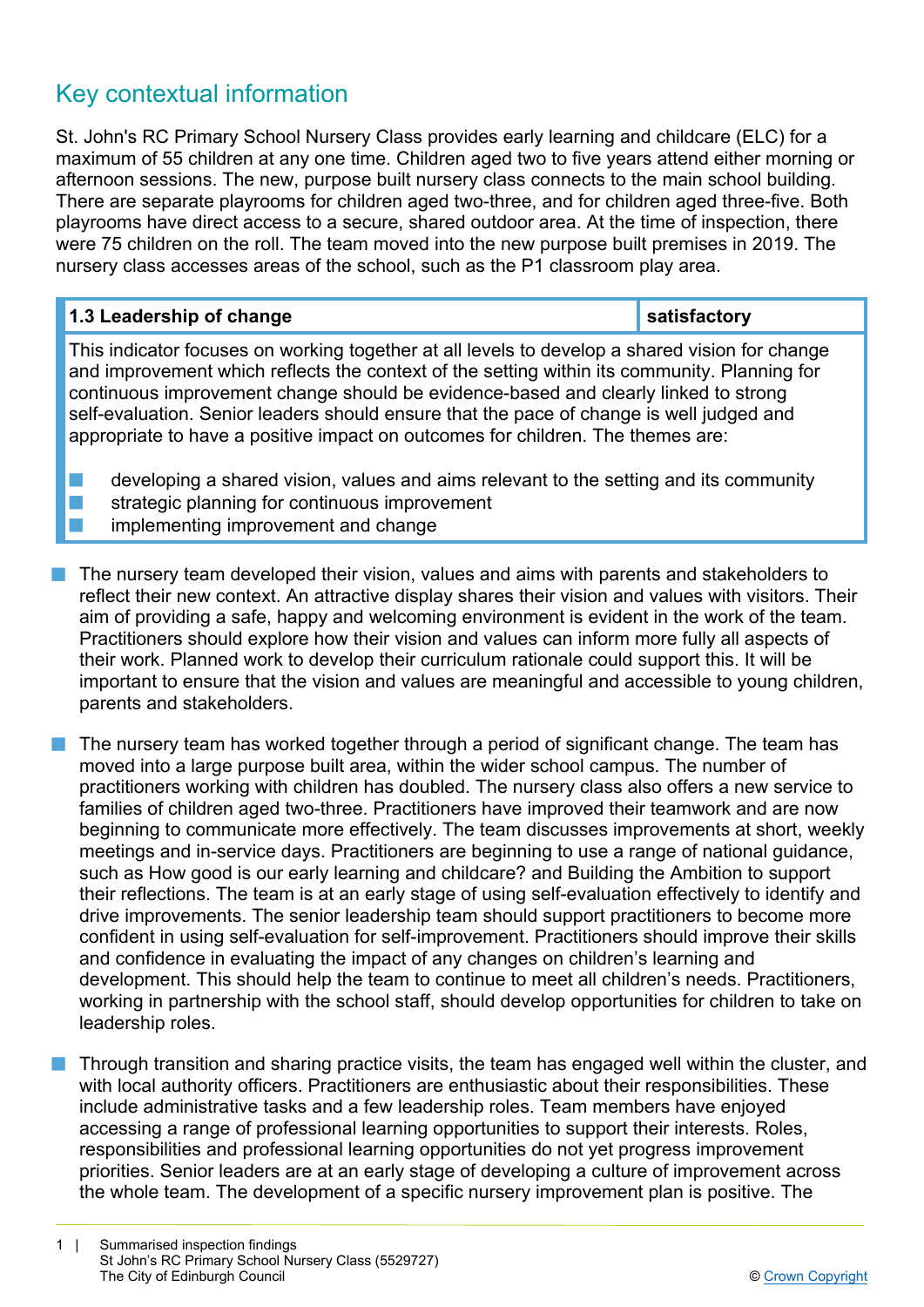# Key contextual information

St. John's RC Primary School Nursery Class provides early learning and childcare (ELC) for a maximum of 55 children at any one time. Children aged two to five years attend either morning or afternoon sessions. The new, purpose built nursery class connects to the main school building. There are separate playrooms for children aged two-three, and for children aged three-five. Both playrooms have direct access to a secure, shared outdoor area. At the time of inspection, there were 75 children on the roll. The team moved into the new purpose built premises in 2019. The nursery class accesses areas of the school, such as the P1 classroom play area.

| 1.3 Leadership of change                                                                                                                                                                                                                                                                                                                                                                                                                                             | satisfactory |
|----------------------------------------------------------------------------------------------------------------------------------------------------------------------------------------------------------------------------------------------------------------------------------------------------------------------------------------------------------------------------------------------------------------------------------------------------------------------|--------------|
| This indicator focuses on working together at all levels to develop a shared vision for change<br>and improvement which reflects the context of the setting within its community. Planning for<br>continuous improvement change should be evidence-based and clearly linked to strong<br>self-evaluation. Senior leaders should ensure that the pace of change is well judged and<br>appropriate to have a positive impact on outcomes for children. The themes are: |              |
| developing a shared vision, values and aims relevant to the setting and its community                                                                                                                                                                                                                                                                                                                                                                                |              |

- strategic planning for continuous improvement
- implementing improvement and change
- The nursery team developed their vision, values and aims with parents and stakeholders to reflect their new context. An attractive display shares their vision and values with visitors. Their aim of providing a safe, happy and welcoming environment is evident in the work of the team. Practitioners should explore how their vision and values can inform more fully all aspects of their work. Planned work to develop their curriculum rationale could support this. It will be important to ensure that the vision and values are meaningful and accessible to young children, parents and stakeholders.
- The nursery team has worked together through a period of significant change. The team has moved into a large purpose built area, within the wider school campus. The number of practitioners working with children has doubled. The nursery class also offers a new service to families of children aged two-three. Practitioners have improved their teamwork and are now beginning to communicate more effectively. The team discusses improvements at short, weekly meetings and in-service days. Practitioners are beginning to use a range of national guidance, such as How good is our early learning and childcare? and Building the Ambition to support their reflections. The team is at an early stage of using self-evaluation effectively to identify and drive improvements. The senior leadership team should support practitioners to become more confident in using self-evaluation for self-improvement. Practitioners should improve their skills and confidence in evaluating the impact of any changes on children's learning and development. This should help the team to continue to meet all children's needs. Practitioners, working in partnership with the school staff, should develop opportunities for children to take on leadership roles.
- Through transition and sharing practice visits, the team has engaged well within the cluster, and with local authority officers. Practitioners are enthusiastic about their responsibilities. These include administrative tasks and a few leadership roles. Team members have enjoyed accessing a range of professional learning opportunities to support their interests. Roles, responsibilities and professional learning opportunities do not yet progress improvement priorities. Senior leaders are at an early stage of developing a culture of improvement across the whole team. The development of a specific nursery improvement plan is positive. The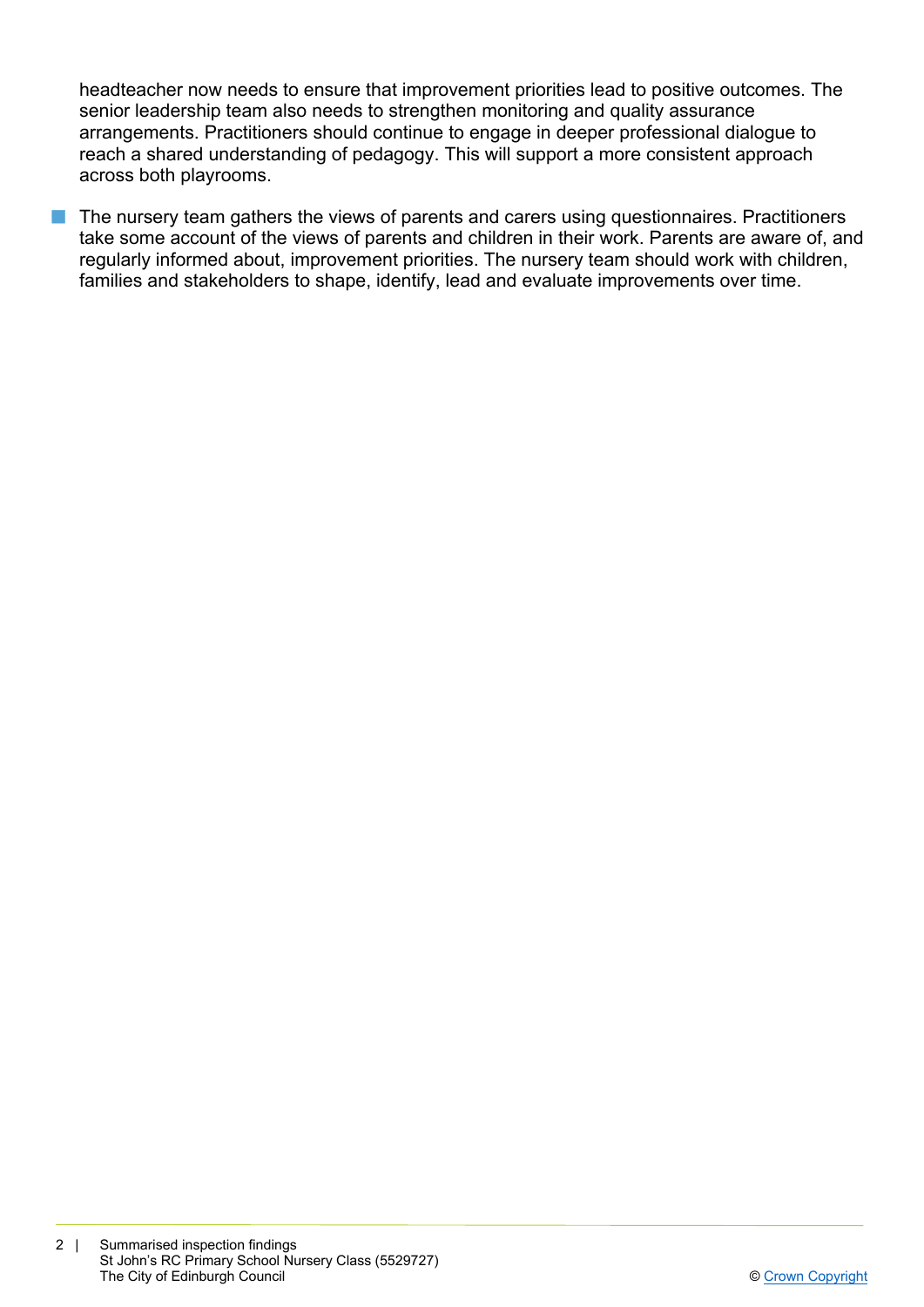headteacher now needs to ensure that improvement priorities lead to positive outcomes. The senior leadership team also needs to strengthen monitoring and quality assurance arrangements. Practitioners should continue to engage in deeper professional dialogue to reach a shared understanding of pedagogy. This will support a more consistent approach across both playrooms.

The nursery team gathers the views of parents and carers using questionnaires. Practitioners take some account of the views of parents and children in their work. Parents are aware of, and regularly informed about, improvement priorities. The nursery team should work with children, families and stakeholders to shape, identify, lead and evaluate improvements over time.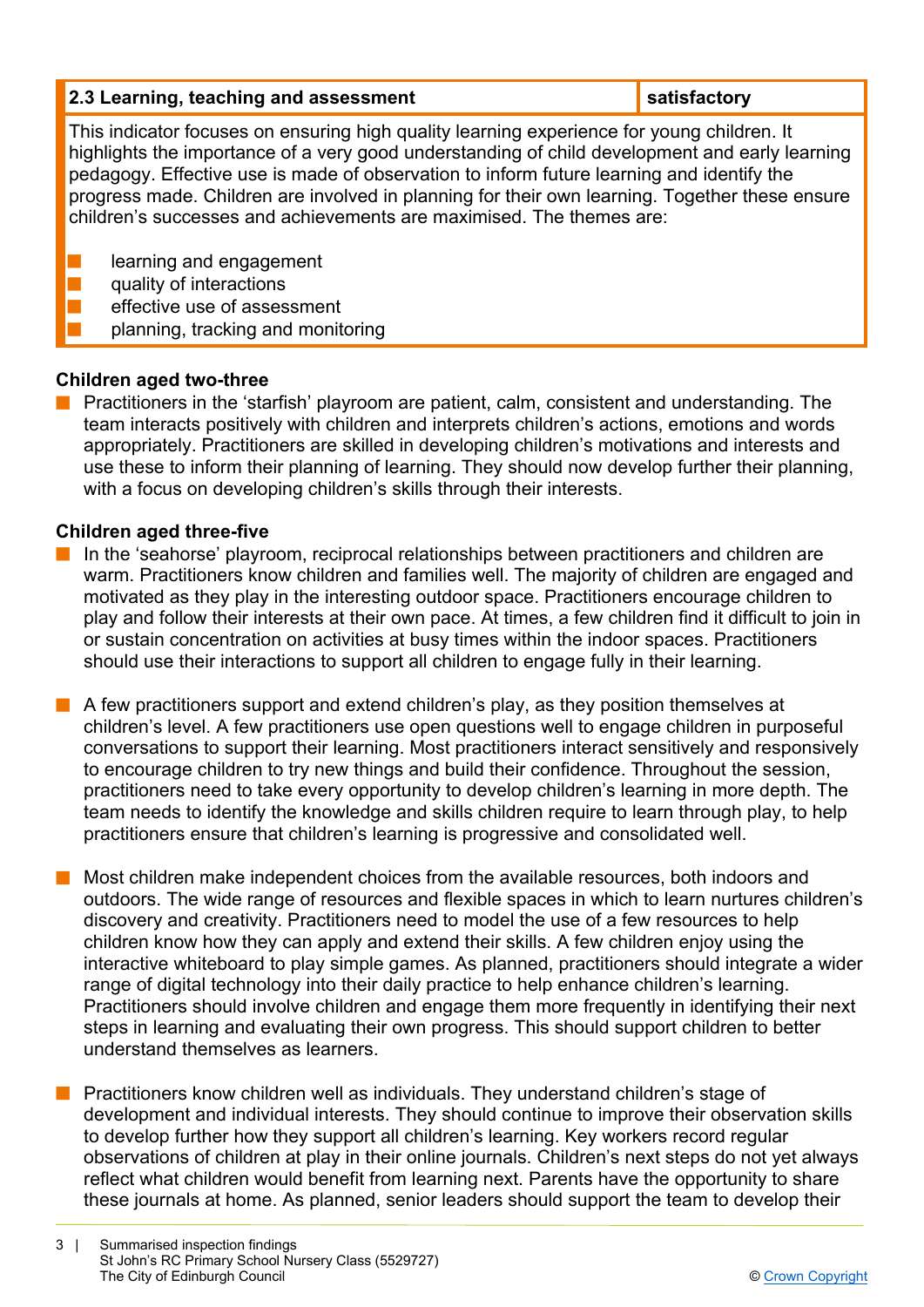# **2.3 Learning, teaching and assessment in the satisfactory in the satisfactory**

This indicator focuses on ensuring high quality learning experience for young children. It highlights the importance of a very good understanding of child development and early learning pedagogy. Effective use is made of observation to inform future learning and identify the progress made. Children are involved in planning for their own learning. Together these ensure children's successes and achievements are maximised. The themes are:

- learning and engagement
- quality of interactions
- effective use of assessment
- planning, tracking and monitoring

# **Children aged two-three**

Practitioners in the 'starfish' playroom are patient, calm, consistent and understanding. The team interacts positively with children and interprets children's actions, emotions and words appropriately. Practitioners are skilled in developing children's motivations and interests and use these to inform their planning of learning. They should now develop further their planning, with a focus on developing children's skills through their interests.

# **Children aged three-five**

- n In the 'seahorse' playroom, reciprocal relationships between practitioners and children are warm. Practitioners know children and families well. The majority of children are engaged and motivated as they play in the interesting outdoor space. Practitioners encourage children to play and follow their interests at their own pace. At times, a few children find it difficult to join in or sustain concentration on activities at busy times within the indoor spaces. Practitioners should use their interactions to support all children to engage fully in their learning.
- $\blacksquare$  A few practitioners support and extend children's play, as they position themselves at children's level. A few practitioners use open questions well to engage children in purposeful conversations to support their learning. Most practitioners interact sensitively and responsively to encourage children to try new things and build their confidence. Throughout the session, practitioners need to take every opportunity to develop children's learning in more depth. The team needs to identify the knowledge and skills children require to learn through play, to help practitioners ensure that children's learning is progressive and consolidated well.
- Most children make independent choices from the available resources, both indoors and outdoors. The wide range of resources and flexible spaces in which to learn nurtures children's discovery and creativity. Practitioners need to model the use of a few resources to help children know how they can apply and extend their skills. A few children enjoy using the interactive whiteboard to play simple games. As planned, practitioners should integrate a wider range of digital technology into their daily practice to help enhance children's learning. Practitioners should involve children and engage them more frequently in identifying their next steps in learning and evaluating their own progress. This should support children to better understand themselves as learners.
- Practitioners know children well as individuals. They understand children's stage of development and individual interests. They should continue to improve their observation skills to develop further how they support all children's learning. Key workers record regular observations of children at play in their online journals. Children's next steps do not yet always reflect what children would benefit from learning next. Parents have the opportunity to share these journals at home. As planned, senior leaders should support the team to develop their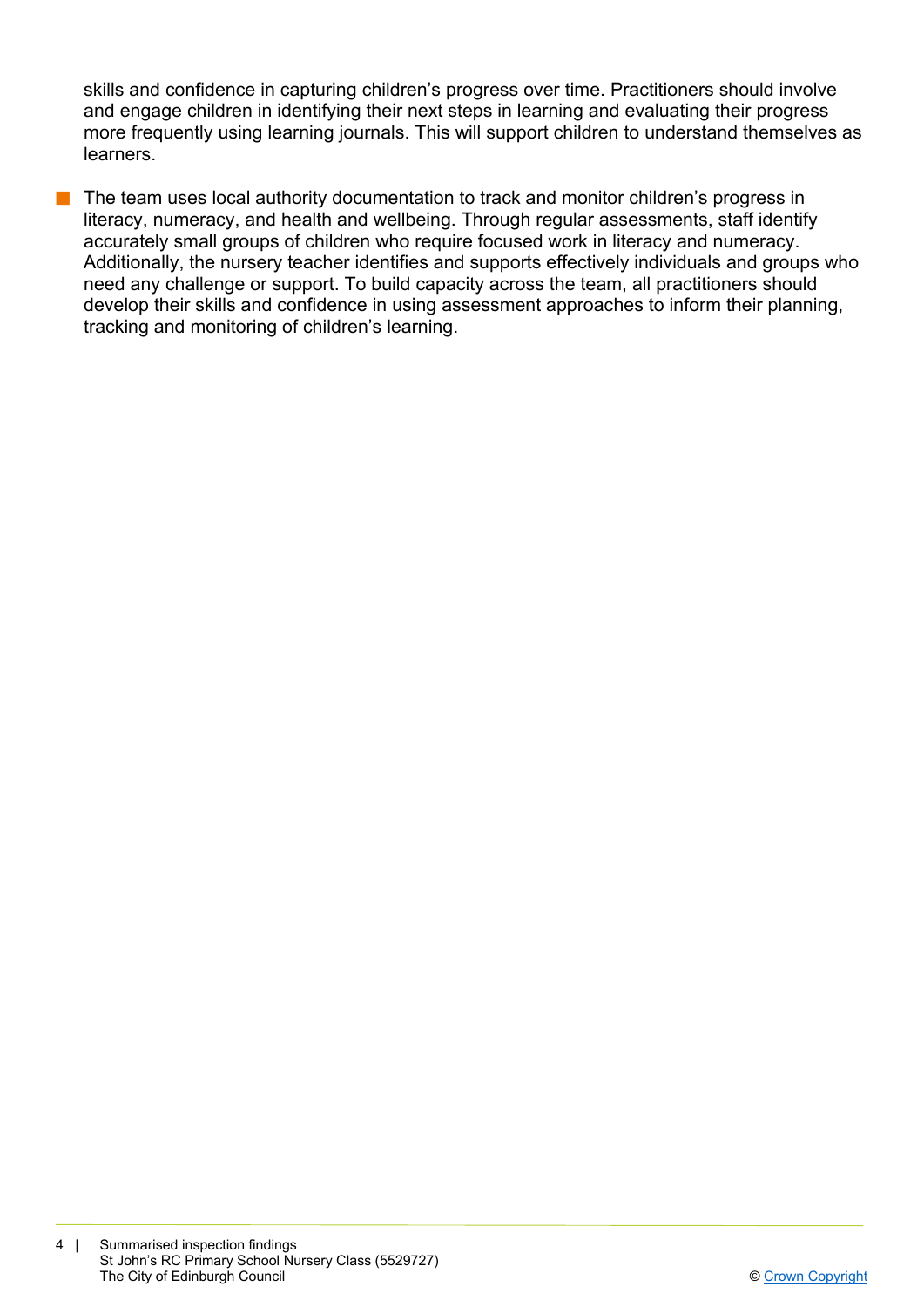skills and confidence in capturing children's progress over time. Practitioners should involve and engage children in identifying their next steps in learning and evaluating their progress more frequently using learning journals. This will support children to understand themselves as learners.

The team uses local authority documentation to track and monitor children's progress in literacy, numeracy, and health and wellbeing. Through regular assessments, staff identify accurately small groups of children who require focused work in literacy and numeracy. Additionally, the nursery teacher identifies and supports effectively individuals and groups who need any challenge or support. To build capacity across the team, all practitioners should develop their skills and confidence in using assessment approaches to inform their planning, tracking and monitoring of children's learning.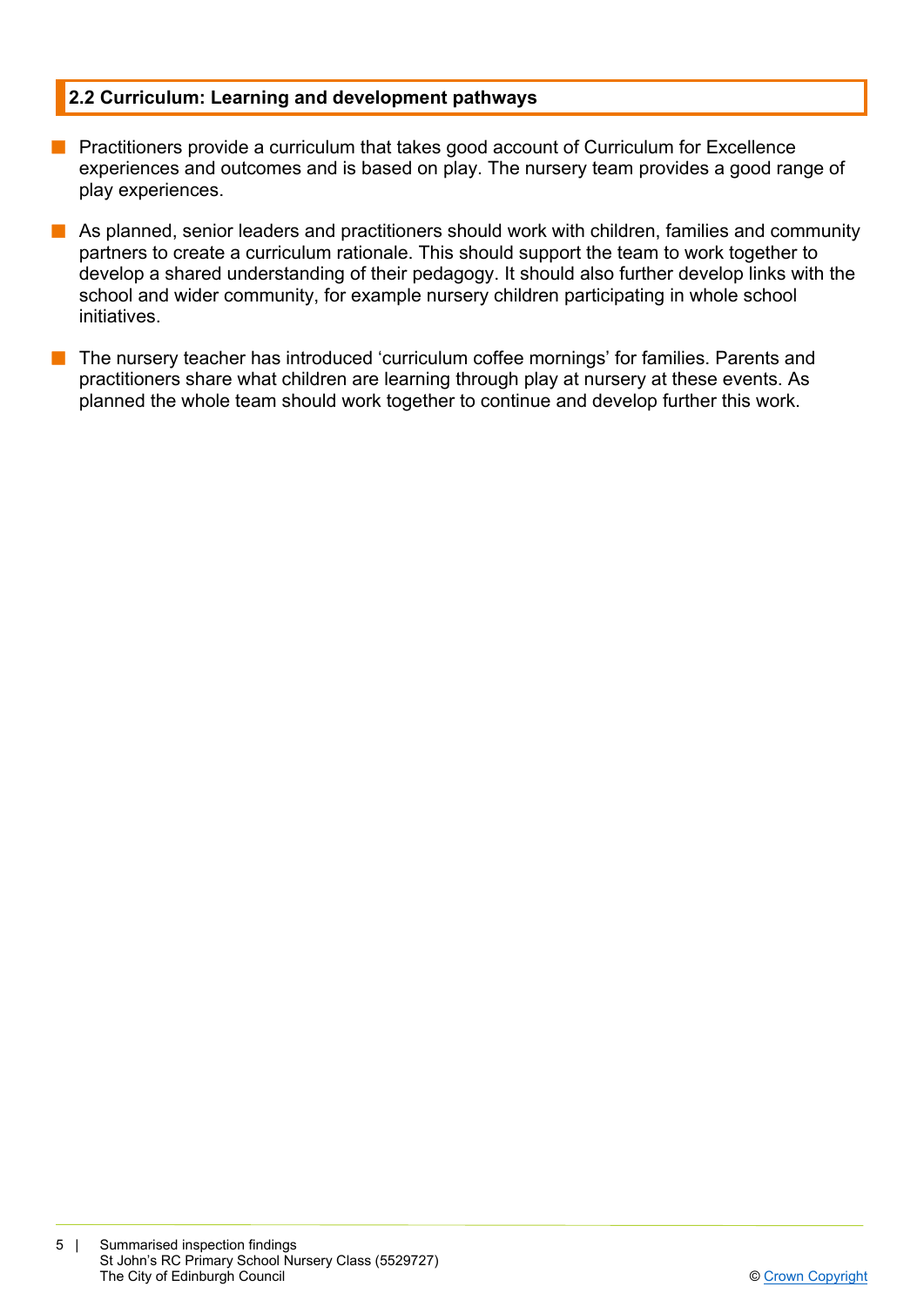# **2.2 Curriculum: Learning and development pathways**

- **n** Practitioners provide a curriculum that takes good account of Curriculum for Excellence experiences and outcomes and is based on play. The nursery team provides a good range of play experiences.
- $\blacksquare$  As planned, senior leaders and practitioners should work with children, families and community partners to create a curriculum rationale. This should support the team to work together to develop a shared understanding of their pedagogy. It should also further develop links with the school and wider community, for example nursery children participating in whole school initiatives.
- $\blacksquare$  The nursery teacher has introduced 'curriculum coffee mornings' for families. Parents and practitioners share what children are learning through play at nursery at these events. As planned the whole team should work together to continue and develop further this work.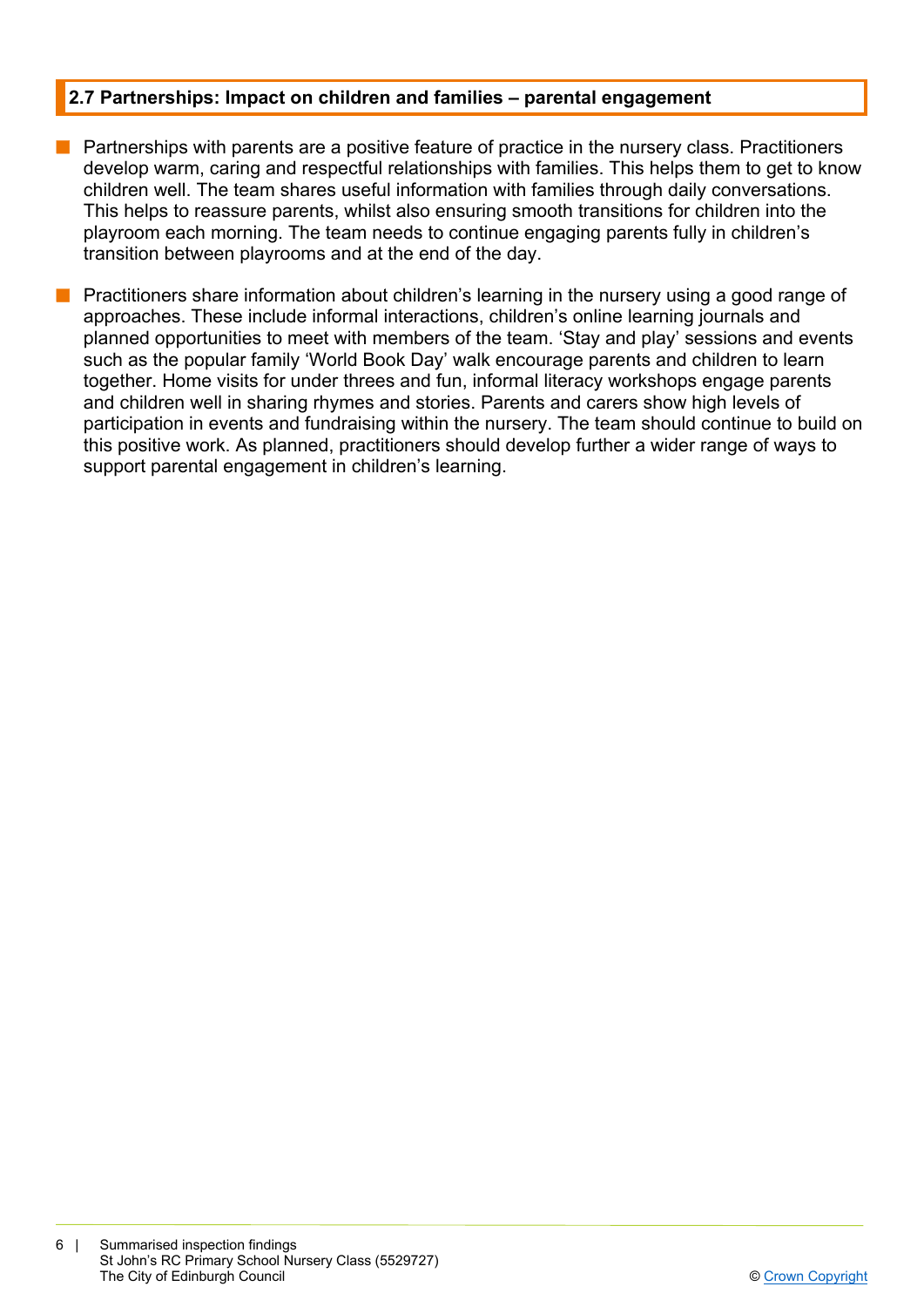# **2.7 Partnerships: Impact on children and families – parental engagement**

- **n** Partnerships with parents are a positive feature of practice in the nursery class. Practitioners develop warm, caring and respectful relationships with families. This helps them to get to know children well. The team shares useful information with families through daily conversations. This helps to reassure parents, whilst also ensuring smooth transitions for children into the playroom each morning. The team needs to continue engaging parents fully in children's transition between playrooms and at the end of the day.
- **n** Practitioners share information about children's learning in the nursery using a good range of approaches. These include informal interactions, children's online learning journals and planned opportunities to meet with members of the team. 'Stay and play' sessions and events such as the popular family 'World Book Day' walk encourage parents and children to learn together. Home visits for under threes and fun, informal literacy workshops engage parents and children well in sharing rhymes and stories. Parents and carers show high levels of participation in events and fundraising within the nursery. The team should continue to build on this positive work. As planned, practitioners should develop further a wider range of ways to support parental engagement in children's learning.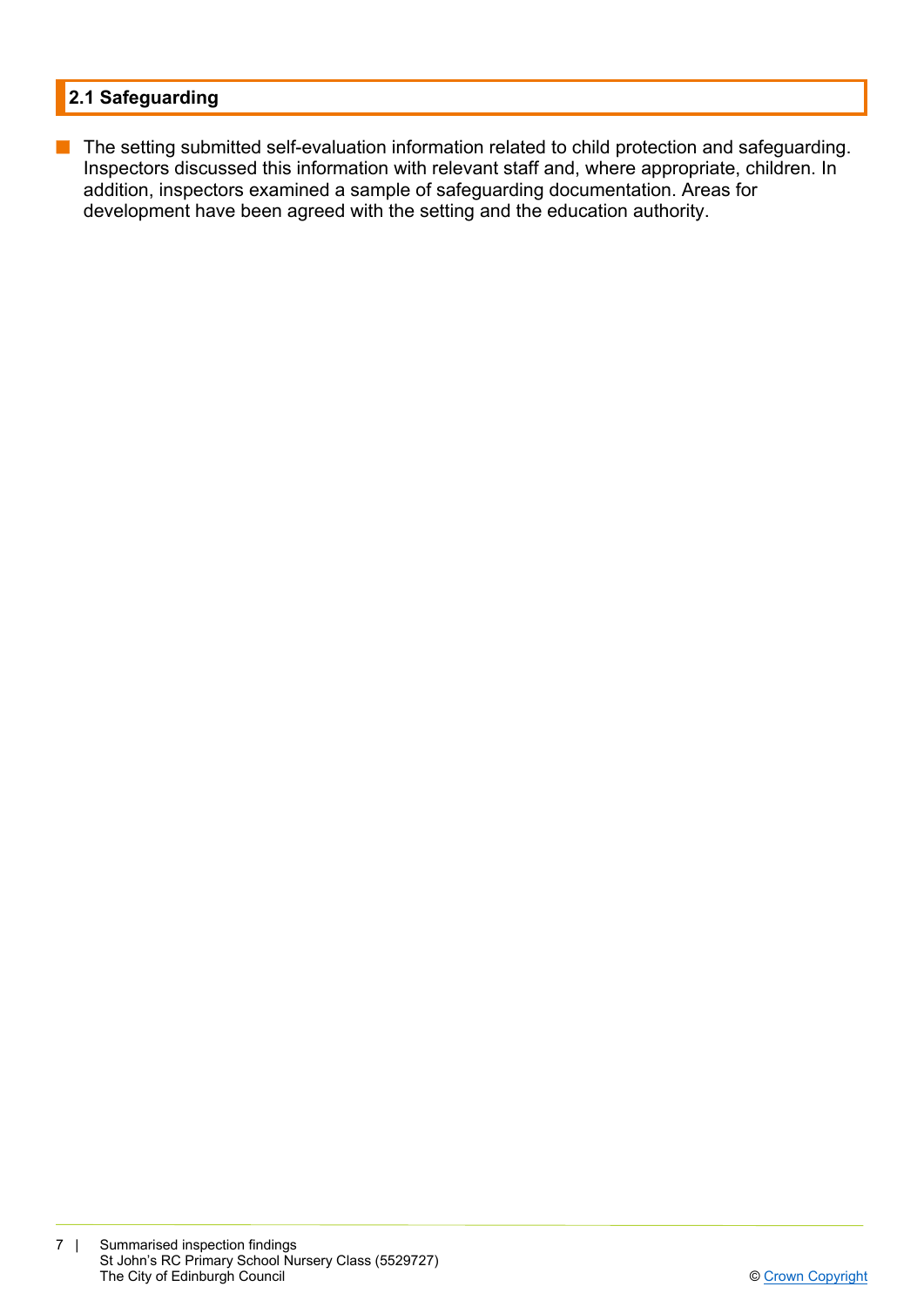# **2.1 Safeguarding**

■ The setting submitted self-evaluation information related to child protection and safeguarding. Inspectors discussed this information with relevant staff and, where appropriate, children. In addition, inspectors examined a sample of safeguarding documentation. Areas for development have been agreed with the setting and the education authority.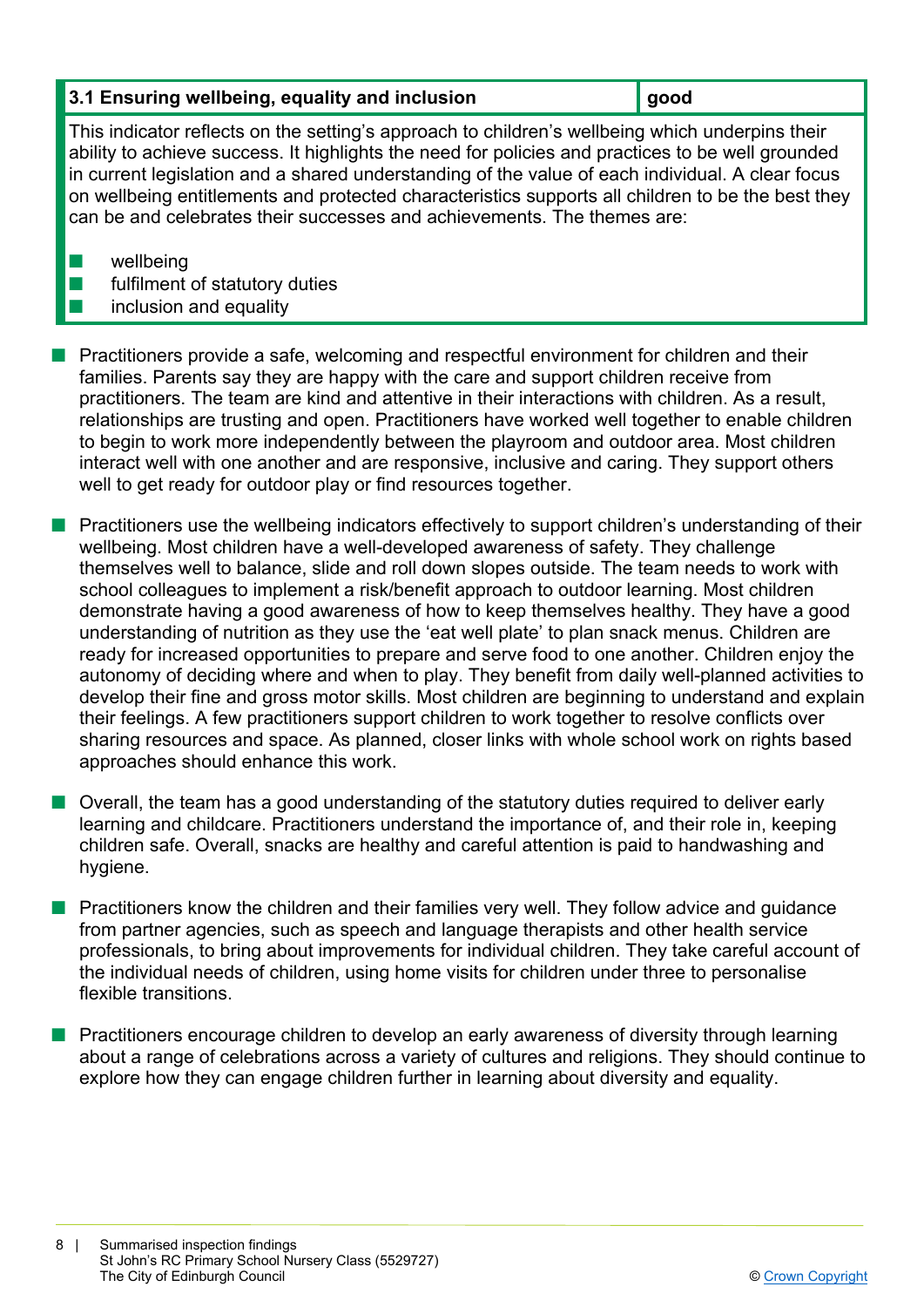# **3.1 Ensuring wellbeing, equality and inclusion good**

This indicator reflects on the setting's approach to children's wellbeing which underpins their ability to achieve success. It highlights the need for policies and practices to be well grounded in current legislation and a shared understanding of the value of each individual. A clear focus on wellbeing entitlements and protected characteristics supports all children to be the best they can be and celebrates their successes and achievements. The themes are:

 $\blacksquare$  wellbeing

- $\blacksquare$  fulfilment of statutory duties
- inclusion and equality

**n** Practitioners provide a safe, welcoming and respectful environment for children and their families. Parents say they are happy with the care and support children receive from practitioners. The team are kind and attentive in their interactions with children. As a result, relationships are trusting and open. Practitioners have worked well together to enable children to begin to work more independently between the playroom and outdoor area. Most children interact well with one another and are responsive, inclusive and caring. They support others well to get ready for outdoor play or find resources together.

n Practitioners use the wellbeing indicators effectively to support children's understanding of their wellbeing. Most children have a well-developed awareness of safety. They challenge themselves well to balance, slide and roll down slopes outside. The team needs to work with school colleagues to implement a risk/benefit approach to outdoor learning. Most children demonstrate having a good awareness of how to keep themselves healthy. They have a good understanding of nutrition as they use the 'eat well plate' to plan snack menus. Children are ready for increased opportunities to prepare and serve food to one another. Children enjoy the autonomy of deciding where and when to play. They benefit from daily well-planned activities to develop their fine and gross motor skills. Most children are beginning to understand and explain their feelings. A few practitioners support children to work together to resolve conflicts over sharing resources and space. As planned, closer links with whole school work on rights based approaches should enhance this work.

n Overall, the team has a good understanding of the statutory duties required to deliver early learning and childcare. Practitioners understand the importance of, and their role in, keeping children safe. Overall, snacks are healthy and careful attention is paid to handwashing and hygiene.

n Practitioners know the children and their families very well. They follow advice and guidance from partner agencies, such as speech and language therapists and other health service professionals, to bring about improvements for individual children. They take careful account of the individual needs of children, using home visits for children under three to personalise flexible transitions.

**n** Practitioners encourage children to develop an early awareness of diversity through learning about a range of celebrations across a variety of cultures and religions. They should continue to explore how they can engage children further in learning about diversity and equality.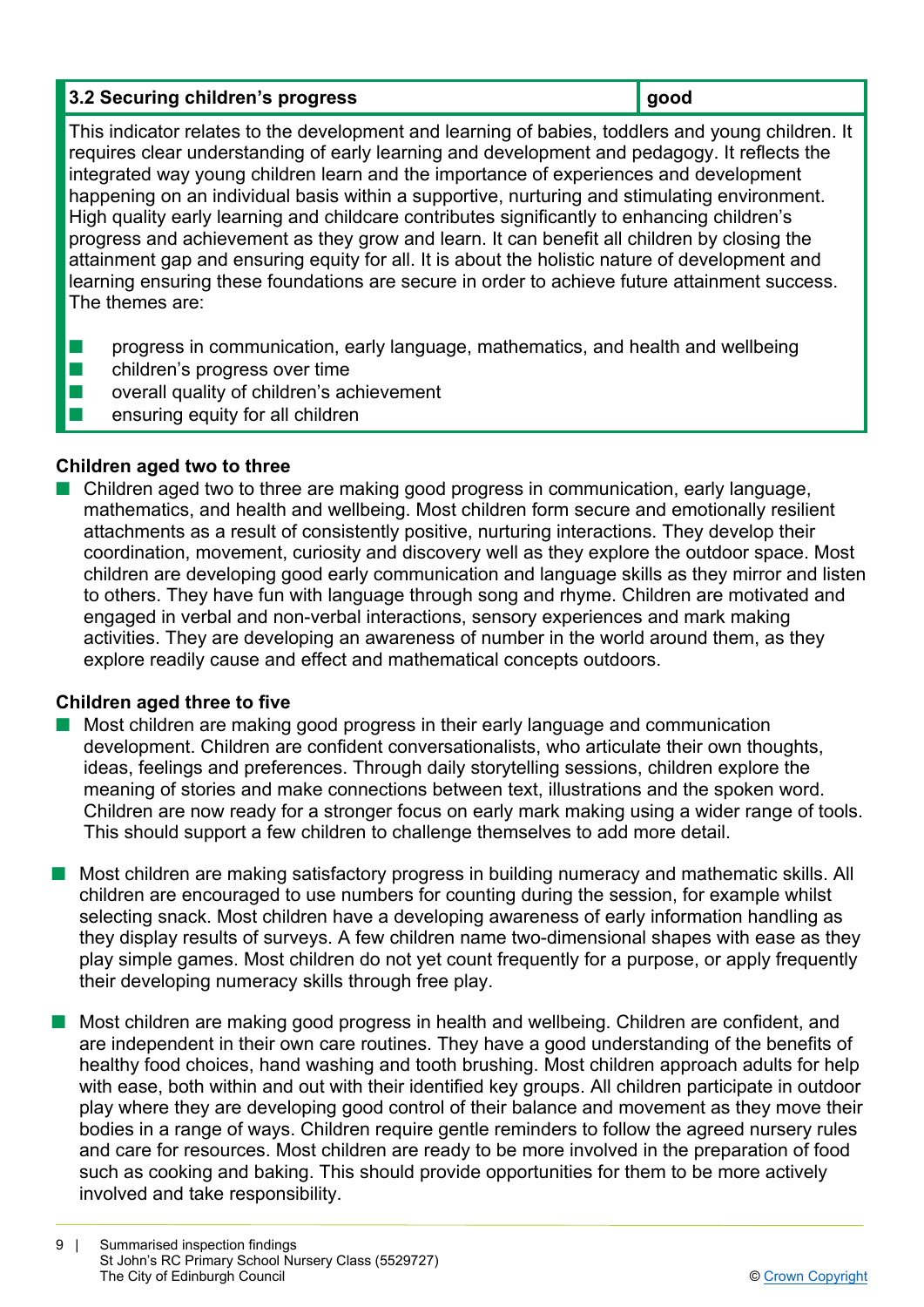# **3.2 Securing children's progress and a set of the security of the set of the set of the set of the set of the set of the set of the set of the set of the set of the set of the set of the set of the set of the set of the s**

This indicator relates to the development and learning of babies, toddlers and young children. It requires clear understanding of early learning and development and pedagogy. It reflects the integrated way young children learn and the importance of experiences and development happening on an individual basis within a supportive, nurturing and stimulating environment. High quality early learning and childcare contributes significantly to enhancing children's progress and achievement as they grow and learn. It can benefit all children by closing the attainment gap and ensuring equity for all. It is about the holistic nature of development and learning ensuring these foundations are secure in order to achieve future attainment success. The themes are:

- **n** progress in communication, early language, mathematics, and health and wellbeing
- $\blacksquare$  children's progress over time
- $\blacksquare$  overall quality of children's achievement
- $\blacksquare$  ensuring equity for all children

# **Children aged two to three**

n Children aged two to three are making good progress in communication, early language, mathematics, and health and wellbeing. Most children form secure and emotionally resilient attachments as a result of consistently positive, nurturing interactions. They develop their coordination, movement, curiosity and discovery well as they explore the outdoor space. Most children are developing good early communication and language skills as they mirror and listen to others. They have fun with language through song and rhyme. Children are motivated and engaged in verbal and non-verbal interactions, sensory experiences and mark making activities. They are developing an awareness of number in the world around them, as they explore readily cause and effect and mathematical concepts outdoors.

# **Children aged three to five**

- $\blacksquare$  Most children are making good progress in their early language and communication development. Children are confident conversationalists, who articulate their own thoughts, ideas, feelings and preferences. Through daily storytelling sessions, children explore the meaning of stories and make connections between text, illustrations and the spoken word. Children are now ready for a stronger focus on early mark making using a wider range of tools. This should support a few children to challenge themselves to add more detail.
- Most children are making satisfactory progress in building numeracy and mathematic skills. All children are encouraged to use numbers for counting during the session, for example whilst selecting snack. Most children have a developing awareness of early information handling as they display results of surveys. A few children name two-dimensional shapes with ease as they play simple games. Most children do not yet count frequently for a purpose, or apply frequently their developing numeracy skills through free play.
- n Most children are making good progress in health and wellbeing. Children are confident, and are independent in their own care routines. They have a good understanding of the benefits of healthy food choices, hand washing and tooth brushing. Most children approach adults for help with ease, both within and out with their identified key groups. All children participate in outdoor play where they are developing good control of their balance and movement as they move their bodies in a range of ways. Children require gentle reminders to follow the agreed nursery rules and care for resources. Most children are ready to be more involved in the preparation of food such as cooking and baking. This should provide opportunities for them to be more actively involved and take responsibility.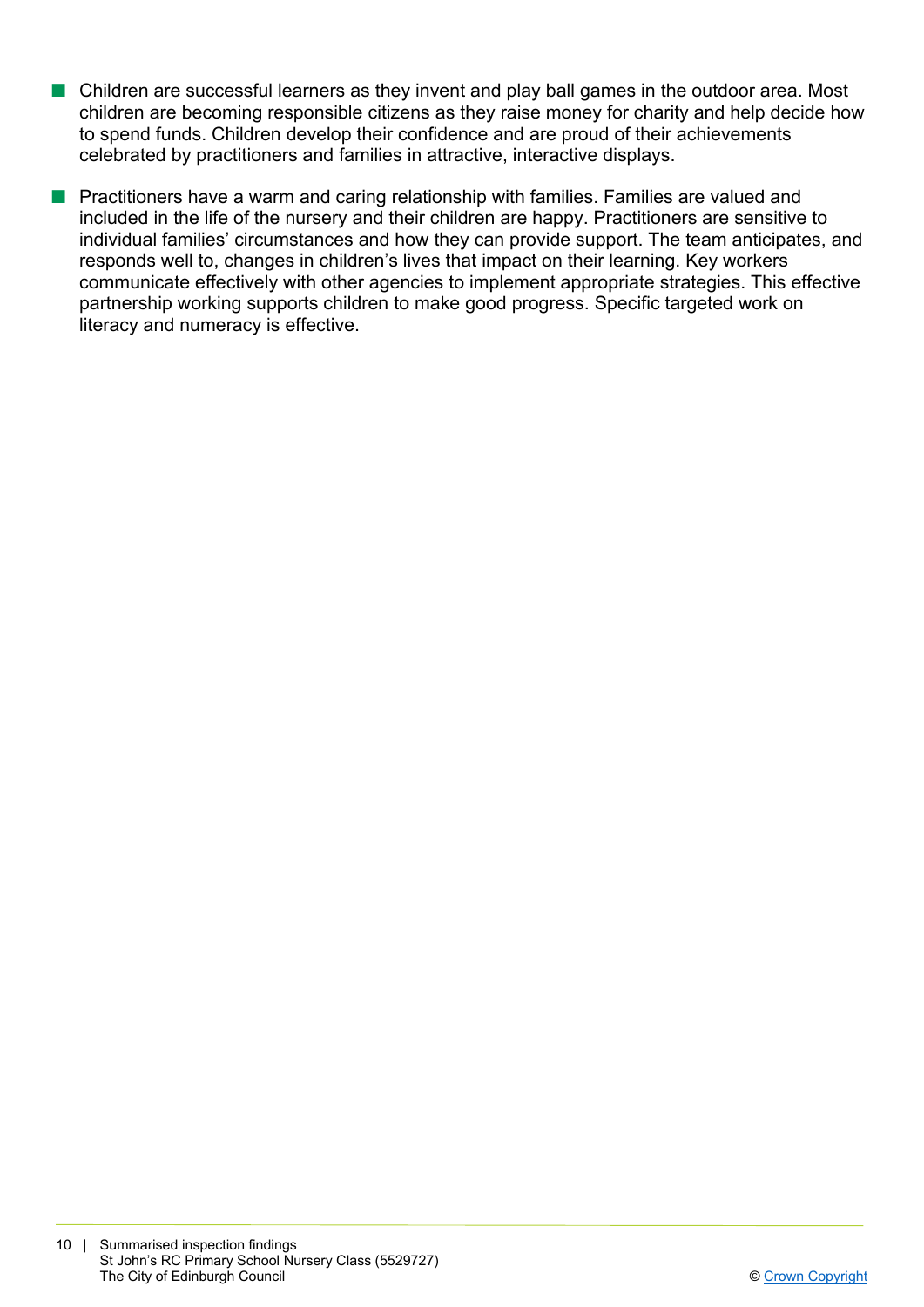- $\blacksquare$  Children are successful learners as they invent and play ball games in the outdoor area. Most children are becoming responsible citizens as they raise money for charity and help decide how to spend funds. Children develop their confidence and are proud of their achievements celebrated by practitioners and families in attractive, interactive displays.
- **n** Practitioners have a warm and caring relationship with families. Families are valued and included in the life of the nursery and their children are happy. Practitioners are sensitive to individual families' circumstances and how they can provide support. The team anticipates, and responds well to, changes in children's lives that impact on their learning. Key workers communicate effectively with other agencies to implement appropriate strategies. This effective partnership working supports children to make good progress. Specific targeted work on literacy and numeracy is effective.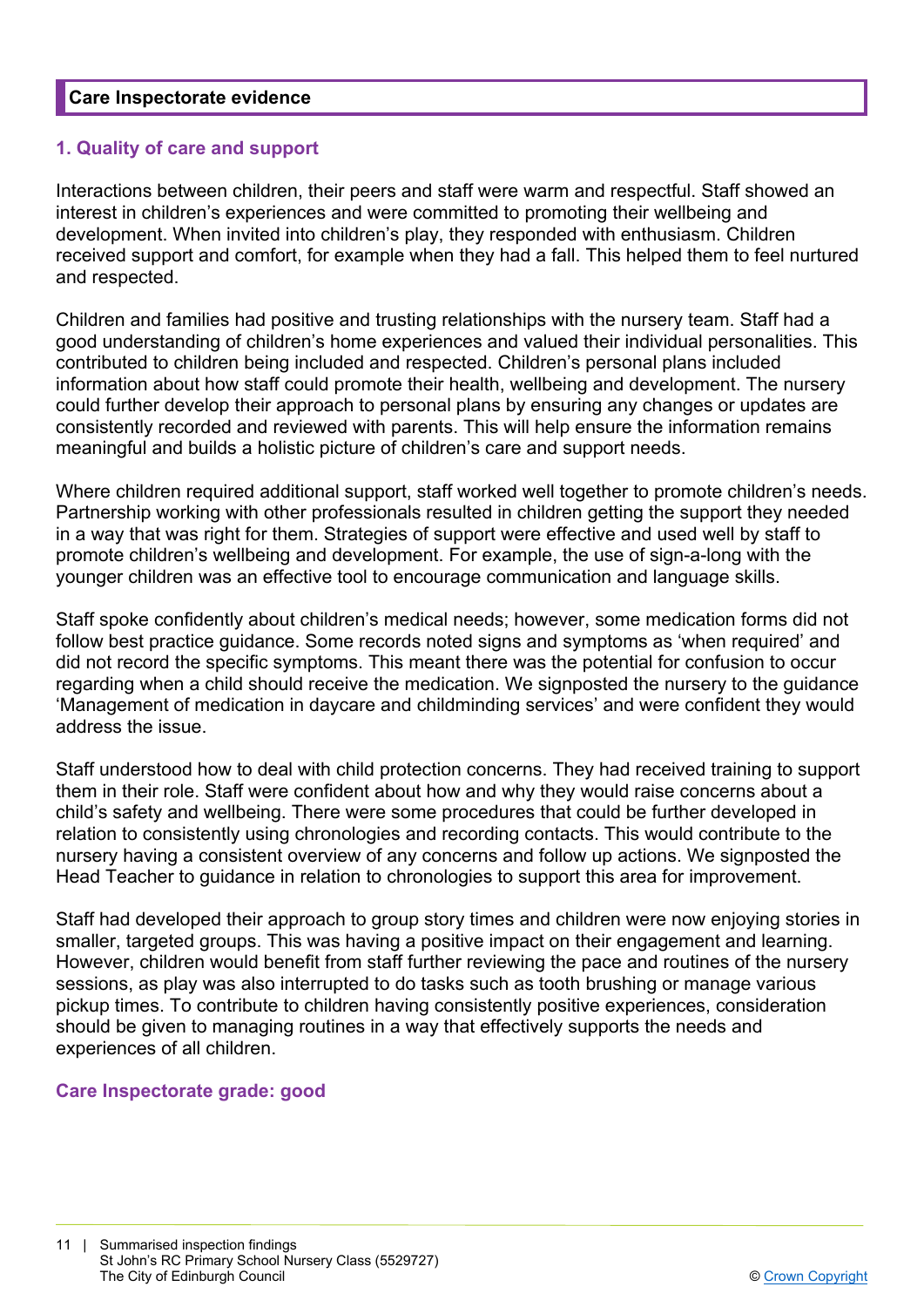## **Care Inspectorate evidence**

## **1. Quality of care and support**

Interactions between children, their peers and staff were warm and respectful. Staff showed an interest in children's experiences and were committed to promoting their wellbeing and development. When invited into children's play, they responded with enthusiasm. Children received support and comfort, for example when they had a fall. This helped them to feel nurtured and respected.

Children and families had positive and trusting relationships with the nursery team. Staff had a good understanding of children's home experiences and valued their individual personalities. This contributed to children being included and respected. Children's personal plans included information about how staff could promote their health, wellbeing and development. The nursery could further develop their approach to personal plans by ensuring any changes or updates are consistently recorded and reviewed with parents. This will help ensure the information remains meaningful and builds a holistic picture of children's care and support needs.

Where children required additional support, staff worked well together to promote children's needs. Partnership working with other professionals resulted in children getting the support they needed in a way that was right for them. Strategies of support were effective and used well by staff to promote children's wellbeing and development. For example, the use of sign-a-long with the younger children was an effective tool to encourage communication and language skills.

Staff spoke confidently about children's medical needs; however, some medication forms did not follow best practice guidance. Some records noted signs and symptoms as 'when required' and did not record the specific symptoms. This meant there was the potential for confusion to occur regarding when a child should receive the medication. We signposted the nursery to the guidance 'Management of medication in daycare and childminding services' and were confident they would address the issue.

Staff understood how to deal with child protection concerns. They had received training to support them in their role. Staff were confident about how and why they would raise concerns about a child's safety and wellbeing. There were some procedures that could be further developed in relation to consistently using chronologies and recording contacts. This would contribute to the nursery having a consistent overview of any concerns and follow up actions. We signposted the Head Teacher to guidance in relation to chronologies to support this area for improvement.

Staff had developed their approach to group story times and children were now enjoying stories in smaller, targeted groups. This was having a positive impact on their engagement and learning. However, children would benefit from staff further reviewing the pace and routines of the nursery sessions, as play was also interrupted to do tasks such as tooth brushing or manage various pickup times. To contribute to children having consistently positive experiences, consideration should be given to managing routines in a way that effectively supports the needs and experiences of all children.

#### **Care Inspectorate grade: good**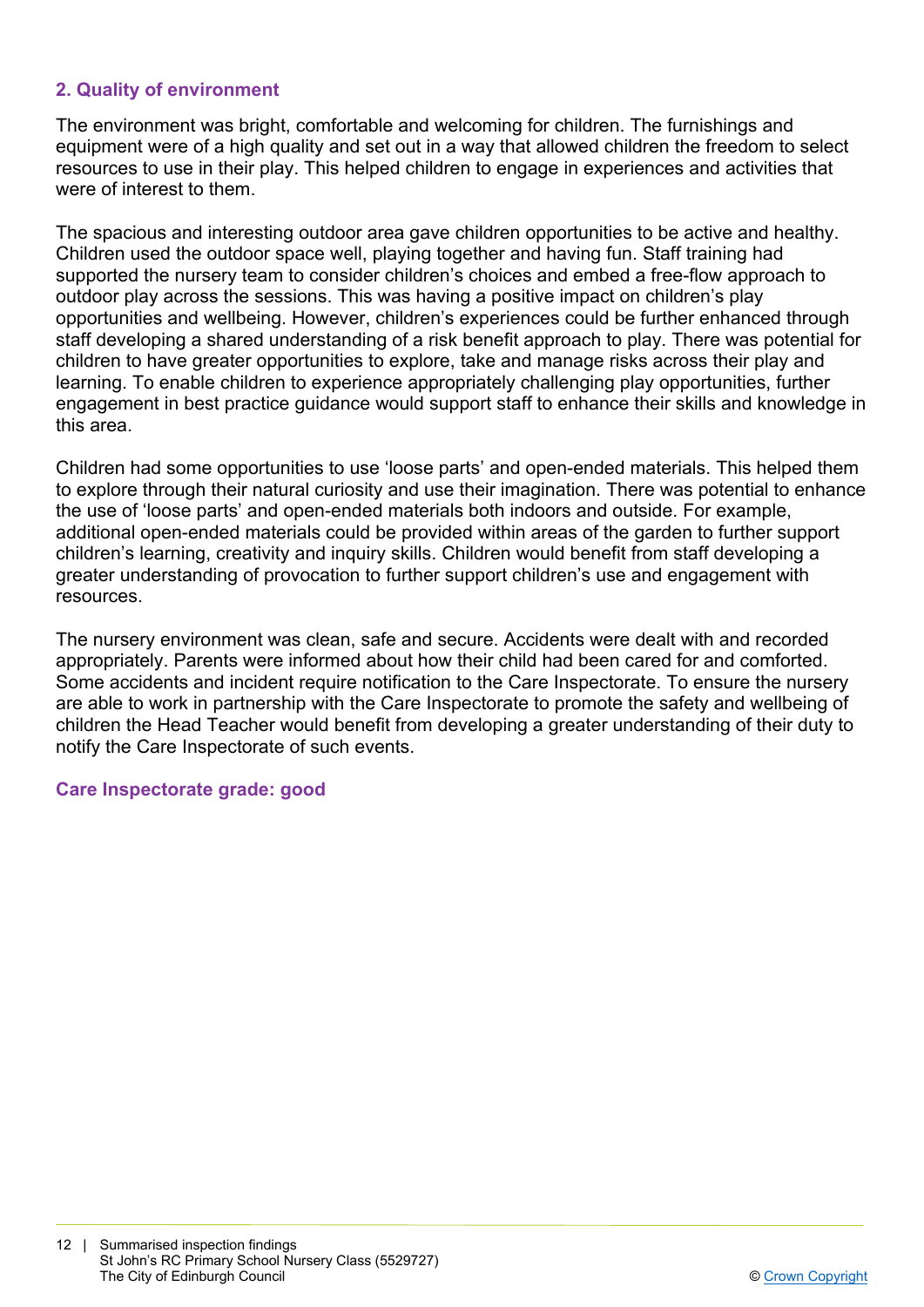# **2. Quality of environment**

The environment was bright, comfortable and welcoming for children. The furnishings and equipment were of a high quality and set out in a way that allowed children the freedom to select resources to use in their play. This helped children to engage in experiences and activities that were of interest to them.

The spacious and interesting outdoor area gave children opportunities to be active and healthy. Children used the outdoor space well, playing together and having fun. Staff training had supported the nursery team to consider children's choices and embed a free-flow approach to outdoor play across the sessions. This was having a positive impact on children's play opportunities and wellbeing. However, children's experiences could be further enhanced through staff developing a shared understanding of a risk benefit approach to play. There was potential for children to have greater opportunities to explore, take and manage risks across their play and learning. To enable children to experience appropriately challenging play opportunities, further engagement in best practice guidance would support staff to enhance their skills and knowledge in this area.

Children had some opportunities to use 'loose parts' and open-ended materials. This helped them to explore through their natural curiosity and use their imagination. There was potential to enhance the use of 'loose parts' and open-ended materials both indoors and outside. For example, additional open-ended materials could be provided within areas of the garden to further support children's learning, creativity and inquiry skills. Children would benefit from staff developing a greater understanding of provocation to further support children's use and engagement with resources.

The nursery environment was clean, safe and secure. Accidents were dealt with and recorded appropriately. Parents were informed about how their child had been cared for and comforted. Some accidents and incident require notification to the Care Inspectorate. To ensure the nursery are able to work in partnership with the Care Inspectorate to promote the safety and wellbeing of children the Head Teacher would benefit from developing a greater understanding of their duty to notify the Care Inspectorate of such events.

#### **Care Inspectorate grade: good**